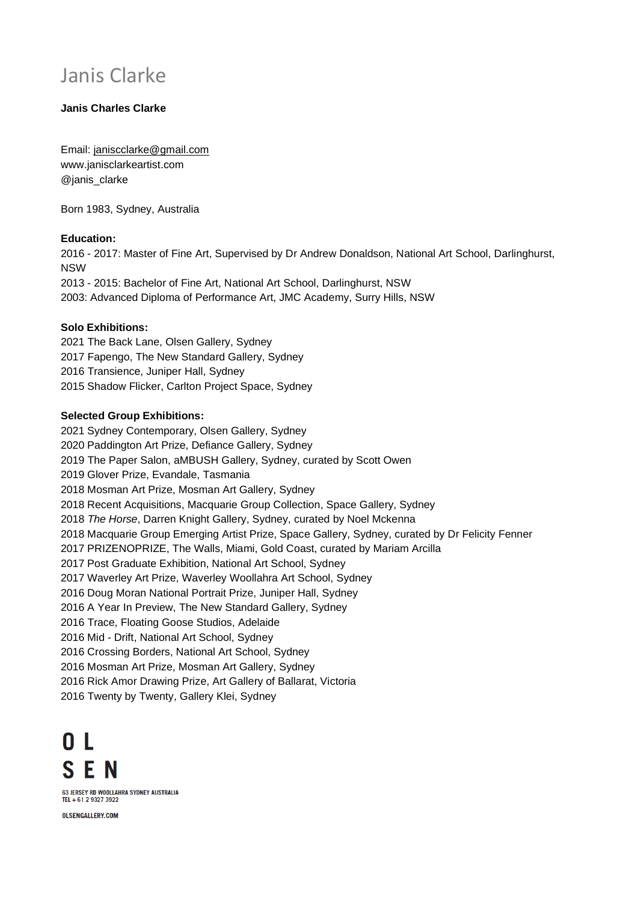# Janis Clarke

# **Janis Charles Clarke**

Email: [janiscclarke@gmail.com](mailto:janiscclarke@gmail.com) [www.janisclarkeartist.com](http://www.janisclarkeartist.com/) @janis\_clarke

Born 1983, Sydney, Australia

## **Education:**

 - 2017: Master of Fine Art, Supervised by Dr Andrew Donaldson, National Art School, Darlinghurst, NSW - 2015: Bachelor of Fine Art, National Art School, Darlinghurst, NSW 2003: Advanced Diploma of Performance Art, JMC Academy, Surry Hills, NSW

## **Solo Exhibitions:**

 The Back Lane, Olsen Gallery, Sydney Fapengo, The New Standard Gallery, Sydney Transience, Juniper Hall, Sydney Shadow Flicker, Carlton Project Space, Sydney

#### **Selected Group Exhibitions:**

 Sydney Contemporary, Olsen Gallery, Sydney Paddington Art Prize, Defiance Gallery, Sydney The Paper Salon, aMBUSH Gallery, Sydney, curated by Scott Owen Glover Prize, Evandale, Tasmania Mosman Art Prize, Mosman Art Gallery, Sydney Recent Acquisitions, Macquarie Group Collection, Space Gallery, Sydney *The Horse*, Darren Knight Gallery, Sydney, curated by Noel Mckenna Macquarie Group Emerging Artist Prize, Space Gallery, Sydney, curated by Dr Felicity Fenner PRIZENOPRIZE, The Walls, Miami, Gold Coast, curated by Mariam Arcilla Post Graduate Exhibition, National Art School, Sydney Waverley Art Prize, Waverley Woollahra Art School, Sydney Doug Moran National Portrait Prize, Juniper Hall, Sydney A Year In Preview, The New Standard Gallery, Sydney Trace, Floating Goose Studios, Adelaide Mid - Drift, National Art School, Sydney Crossing Borders, National Art School, Sydney Mosman Art Prize, Mosman Art Gallery, Sydney Rick Amor Drawing Prize, Art Gallery of Ballarat, Victoria Twenty by Twenty, Gallery Klei, Sydney

 $0<sup>1</sup>$ **SFN** 63 JERSEY RD WOOLLAHRA SYDNEY AUSTRALIA TEL + 61 2 9327 3922

OLSENGALLERY.COM